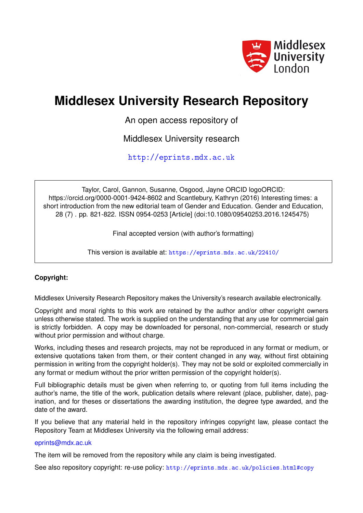

## **Middlesex University Research Repository**

An open access repository of

Middlesex University research

<http://eprints.mdx.ac.uk>

Taylor, Carol, Gannon, Susanne, Osgood, Jayne ORCID logoORCID: https://orcid.org/0000-0001-9424-8602 and Scantlebury, Kathryn (2016) Interesting times: a short introduction from the new editorial team of Gender and Education. Gender and Education, 28 (7) . pp. 821-822. ISSN 0954-0253 [Article] (doi:10.1080/09540253.2016.1245475)

Final accepted version (with author's formatting)

This version is available at: <https://eprints.mdx.ac.uk/22410/>

## **Copyright:**

Middlesex University Research Repository makes the University's research available electronically.

Copyright and moral rights to this work are retained by the author and/or other copyright owners unless otherwise stated. The work is supplied on the understanding that any use for commercial gain is strictly forbidden. A copy may be downloaded for personal, non-commercial, research or study without prior permission and without charge.

Works, including theses and research projects, may not be reproduced in any format or medium, or extensive quotations taken from them, or their content changed in any way, without first obtaining permission in writing from the copyright holder(s). They may not be sold or exploited commercially in any format or medium without the prior written permission of the copyright holder(s).

Full bibliographic details must be given when referring to, or quoting from full items including the author's name, the title of the work, publication details where relevant (place, publisher, date), pagination, and for theses or dissertations the awarding institution, the degree type awarded, and the date of the award.

If you believe that any material held in the repository infringes copyright law, please contact the Repository Team at Middlesex University via the following email address:

## [eprints@mdx.ac.uk](mailto:eprints@mdx.ac.uk)

The item will be removed from the repository while any claim is being investigated.

See also repository copyright: re-use policy: <http://eprints.mdx.ac.uk/policies.html#copy>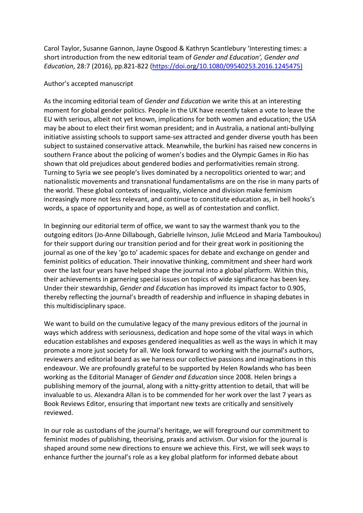Carol Taylor, Susanne Gannon, Jayne Osgood & Kathryn Scantlebury 'Interesting times: a short introduction from the new editorial team of *Gender and Education', Gender and Education*, 28:7 (2016), pp.821-822 [\(https://doi.org/10.1080/09540253.2016.1245475\)](https://doi.org/10.1080/09540253.2016.1245475)

## Author's accepted manuscript

As the incoming editorial team of *Gender and Education* we write this at an interesting moment for global gender politics. People in the UK have recently taken a vote to leave the EU with serious, albeit not yet known, implications for both women and education; the USA may be about to elect their first woman president; and in Australia, a national anti-bullying initiative assisting schools to support same-sex attracted and gender diverse youth has been subject to sustained conservative attack. Meanwhile, the burkini has raised new concerns in southern France about the policing of women's bodies and the Olympic Games in Rio has shown that old prejudices about gendered bodies and performativities remain strong. Turning to Syria we see people's lives dominated by a necropolitics oriented to war; and nationalistic movements and transnational fundamentalisms are on the rise in many parts of the world. These global contexts of inequality, violence and division make feminism increasingly more not less relevant, and continue to constitute education as, in bell hooks's words, a space of opportunity and hope, as well as of contestation and conflict.

In beginning our editorial term of office, we want to say the warmest thank you to the outgoing editors (Jo-Anne Dillabough, Gabrielle Ivinson, Julie McLeod and Maria Tamboukou) for their support during our transition period and for their great work in positioning the journal as one of the key 'go to' academic spaces for debate and exchange on gender and feminist politics of education. Their innovative thinking, commitment and sheer hard work over the last four years have helped shape the journal into a global platform. Within this, their achievements in garnering special issues on topics of wide significance has been key. Under their stewardship, *Gender and Education* has improved its impact factor to 0.905, thereby reflecting the journal's breadth of readership and influence in shaping debates in this multidisciplinary space.

We want to build on the cumulative legacy of the many previous editors of the journal in ways which address with seriousness, dedication and hope some of the vital ways in which education establishes and exposes gendered inequalities as well as the ways in which it may promote a more just society for all. We look forward to working with the journal's authors, reviewers and editorial board as we harness our collective passions and imaginations in this endeavour. We are profoundly grateful to be supported by Helen Rowlands who has been working as the Editorial Manager of *Gender and Education* since 2008. Helen brings a publishing memory of the journal, along with a nitty-gritty attention to detail, that will be invaluable to us. Alexandra Allan is to be commended for her work over the last 7 years as Book Reviews Editor, ensuring that important new texts are critically and sensitively reviewed.

In our role as custodians of the journal's heritage, we will foreground our commitment to feminist modes of publishing, theorising, praxis and activism. Our vision for the journal is shaped around some new directions to ensure we achieve this. First, we will seek ways to enhance further the journal's role as a key global platform for informed debate about